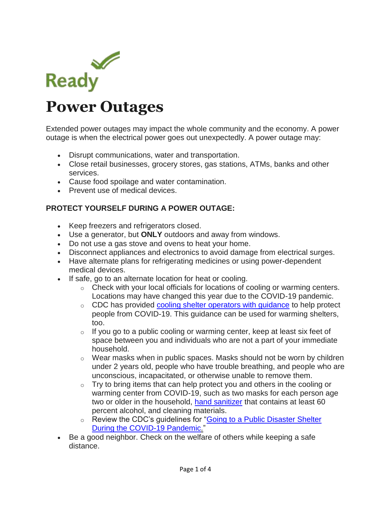

# **Power Outages**

Extended power outages may impact the whole community and the economy. A power outage is when the electrical power goes out unexpectedly. A power outage may:

- Disrupt communications, water and transportation.
- Close retail businesses, grocery stores, gas stations, ATMs, banks and other services.
- Cause food spoilage and water contamination.
- Prevent use of medical devices.

#### **PROTECT YOURSELF DURING A POWER OUTAGE:**

- Keep freezers and refrigerators closed.
- Use a generator, but **ONLY** outdoors and away from windows.
- Do not use a gas stove and ovens to heat your home.
- Disconnect appliances and electronics to avoid damage from electrical surges.
- Have alternate plans for refrigerating medicines or using power-dependent medical devices.
- If safe, go to an alternate location for heat or cooling.
	- o Check with your local officials for locations of cooling or warming centers. Locations may have changed this year due to the COVID-19 pandemic.
	- o CDC has provided [cooling shelter operators with guidance](https://www.cdc.gov/coronavirus/2019-ncov/php/cooling-center.html) to help protect people from COVID-19. This guidance can be used for warming shelters, too.
	- $\circ$  If you go to a public cooling or warming center, keep at least six feet of space between you and individuals who are not a part of your immediate household.
	- $\circ$  Wear masks when in public spaces. Masks should not be worn by children under 2 years old, people who have trouble breathing, and people who are unconscious, incapacitated, or otherwise unable to remove them.
	- $\circ$  Try to bring items that can help protect you and others in the cooling or warming center from COVID-19, such as two masks for each person age two or older in the household, [hand sanitizer](https://www.cdc.gov/handwashing/hand-sanitizer-use.html) that contains at least 60 percent alcohol, and cleaning materials.
	- o Review the CDC's guidelines for "Going to a Public Disaster Shelter [During the COVID-19 Pandemic.](https://www.cdc.gov/disasters/hurricanes/covid-19/public-disaster-shelter-during-covid.html)"
- Be a good neighbor. Check on the welfare of others while keeping a safe distance.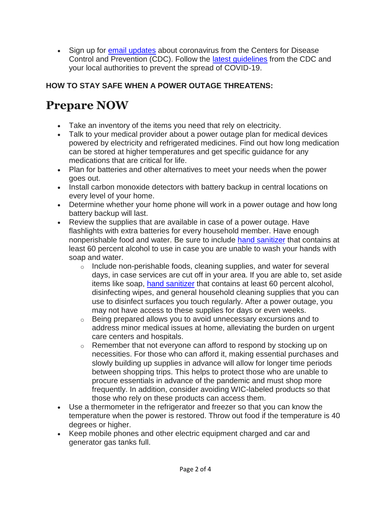• Sign up for [email updates](https://www.cdc.gov/Other/emailupdates/) about coronavirus from the Centers for Disease Control and Prevention (CDC). Follow the [latest guidelines](https://www.cdc.gov/coronavirus/2019-ncov/prevent-getting-sick/prevention.html) from the CDC and your local authorities to prevent the spread of COVID-19.

### **HOW TO STAY SAFE WHEN A POWER OUTAGE THREATENS:**

## **Prepare NOW**

- Take an inventory of the items you need that rely on electricity.
- Talk to your medical provider about a power outage plan for medical devices powered by electricity and refrigerated medicines. Find out how long medication can be stored at higher temperatures and get specific guidance for any medications that are critical for life.
- Plan for batteries and other alternatives to meet your needs when the power goes out.
- Install carbon monoxide detectors with battery backup in central locations on every level of your home.
- Determine whether your home phone will work in a power outage and how long battery backup will last.
- Review the supplies that are available in case of a power outage. Have flashlights with extra batteries for every household member. Have enough nonperishable food and water. Be sure to include [hand sanitizer](https://www.cdc.gov/handwashing/hand-sanitizer-use.html) that contains at least 60 percent alcohol to use in case you are unable to wash your hands with soap and water.
	- $\circ$  Include non-perishable foods, cleaning supplies, and water for several days, in case services are cut off in your area. If you are able to, set aside items like soap, [hand sanitizer](https://www.cdc.gov/handwashing/hand-sanitizer-use.html) that contains at least 60 percent alcohol, disinfecting wipes, and general household cleaning supplies that you can use to disinfect surfaces you touch regularly. After a power outage, you may not have access to these supplies for days or even weeks.
	- $\circ$  Being prepared allows you to avoid unnecessary excursions and to address minor medical issues at home, alleviating the burden on urgent care centers and hospitals.
	- $\circ$  Remember that not everyone can afford to respond by stocking up on necessities. For those who can afford it, making essential purchases and slowly building up supplies in advance will allow for longer time periods between shopping trips. This helps to protect those who are unable to procure essentials in advance of the pandemic and must shop more frequently. In addition, consider avoiding WIC-labeled products so that those who rely on these products can access them.
- Use a thermometer in the refrigerator and freezer so that you can know the temperature when the power is restored. Throw out food if the temperature is 40 degrees or higher.
- Keep mobile phones and other electric equipment charged and car and generator gas tanks full.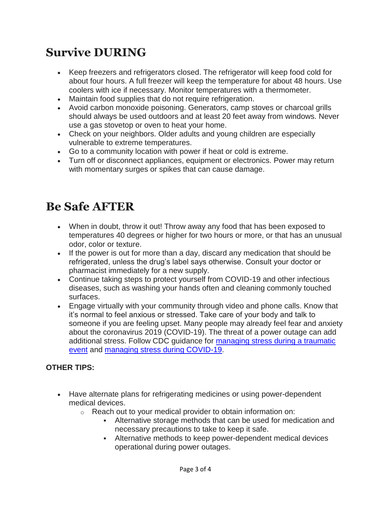### **Survive DURING**

- Keep freezers and refrigerators closed. The refrigerator will keep food cold for about four hours. A full freezer will keep the temperature for about 48 hours. Use coolers with ice if necessary. Monitor temperatures with a thermometer.
- Maintain food supplies that do not require refrigeration.
- Avoid carbon monoxide poisoning. Generators, camp stoves or charcoal grills should always be used outdoors and at least 20 feet away from windows. Never use a gas stovetop or oven to heat your home.
- Check on your neighbors. Older adults and young children are especially vulnerable to extreme temperatures.
- Go to a community location with power if heat or cold is extreme.
- Turn off or disconnect appliances, equipment or electronics. Power may return with momentary surges or spikes that can cause damage.

### **Be Safe AFTER**

- When in doubt, throw it out! Throw away any food that has been exposed to temperatures 40 degrees or higher for two hours or more, or that has an unusual odor, color or texture.
- If the power is out for more than a day, discard any medication that should be refrigerated, unless the drug's label says otherwise. Consult your doctor or pharmacist immediately for a new supply.
- Continue taking steps to protect yourself from COVID-19 and other infectious diseases, such as washing your hands often and cleaning commonly touched surfaces.
- Engage virtually with your community through video and phone calls. Know that it's normal to feel anxious or stressed. Take care of your body and talk to someone if you are feeling upset. Many people may already feel fear and anxiety about the coronavirus 2019 (COVID-19). The threat of a power outage can add additional stress. Follow CDC guidance for [managing stress during a traumatic](https://www.cdc.gov/injury/features/dealing-with-stress/index.html)  [event](https://www.cdc.gov/injury/features/dealing-with-stress/index.html) and [managing stress during COVID-19.](https://www.cdc.gov/coronavirus/2019-ncov/daily-life-coping/managing-stress-anxiety.html)

#### **OTHER TIPS:**

- Have alternate plans for refrigerating medicines or using power-dependent medical devices.
	- $\circ$  Reach out to your medical provider to obtain information on:
		- Alternative storage methods that can be used for medication and necessary precautions to take to keep it safe.
		- Alternative methods to keep power-dependent medical devices operational during power outages.